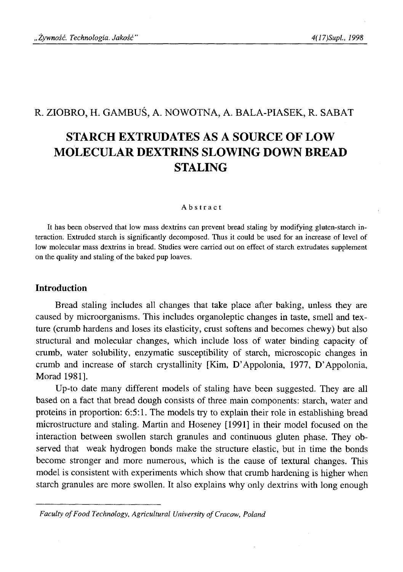# R. ZIOBRO, H. GAMBUŚ, A. NOWOTNA, A. BALA-PIASEK, R. SABAT

# **STARCH EXTRUDATES AS A SOURCE OF LOW MOLECULAR DEXTRINS SLOWING DOWN BREAD STALING**

#### Abstract

It has been observed that low mass dextrins can prevent bread staling by modifying gluten-starch interaction. Extruded starch is significantly decomposed. Thus it could be used for an increase of level of low molecular mass dextrins in bread. Studies were carried out on effect of starch extrudates supplement on the quality and staling of the baked pup loaves.

## **Introduction**

Bread staling includes all changes that take place after baking, unless they are caused by microorganisms. This includes organoleptic changes in taste, smell and texture (crumb hardens and loses its elasticity, crust softens and becomes chewy) but also structural and molecular changes, which include loss of water binding capacity of crumb, water solubility, enzymatic susceptibility of starch, microscopic changes in crumb and increase of starch crystallinity [Kim, D'Appolonia, 1977, D 'Appolonia, Morad 1981].

Up-to date many different models of staling have been suggested. They are all based on a fact that bread dough consists of three main components: starch, water and proteins in proportion: 6:5:1. The models try to explain their role in establishing bread microstructure and staling. Martin and Hoseney [1991] in their model focused on the interaction between swollen starch granules and continuous gluten phase. They observed that weak hydrogen bonds make the structure elastic, but in time the bonds become stronger and more numerous, which is the cause of textural changes. This model is consistent with experiments which show that crumb hardening is higher when starch granules are more swollen. It also explains why only dextrins with long enough

*Faculty of Food Technology, Agricultural University of Cracow, Poland*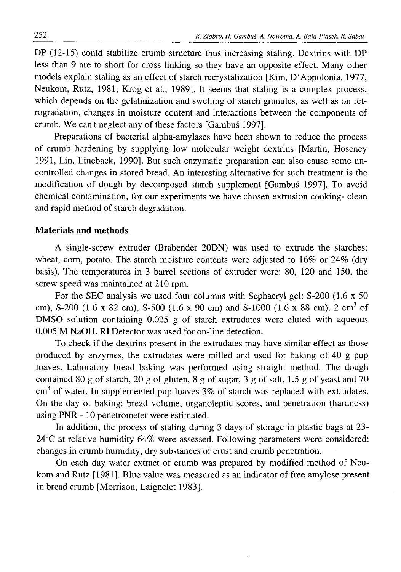DP (12-15) could stabilize crumb structure thus increasing staling. Dextrins with DP less than 9 are to short for cross linking so they have an opposite effect. Many other models explain staling as an effect of starch recrystalization [Kim, D'Appolonia, 1977, Neukom, Rutz, 1981, Krog et al., 1989]. It seems that staling is a complex process, which depends on the gelatinization and swelling of starch granules, as well as on retrogradation, changes in moisture content and interactions between the components of crumb. We can't neglect any of these factors [Gambuś 1997].

Preparations of bacterial alpha-amylases have been shown to reduce the process of crumb hardening by supplying low molecular weight dextrins [Martin, Hoseney 1991, Lin, Lineback, 1990]. But such enzymatic preparation can also cause some uncontrolled changes in stored bread. An interesting alternative for such treatment is the modification of dough by decomposed starch supplement [Gambuś 1997]. To avoid chemical contamination, for our experiments we have chosen extrusion cooking- clean and rapid method of starch degradation.

#### **Materials and methods**

A single-screw extruder (Brabender 20DN) was used to extrude the starches: wheat, corn, potato. The starch moisture contents were adjusted to 16% or 24% (dry basis). The temperatures in 3 barrel sections of extruder were: 80, 120 and 150, the screw speed was maintained at 210 rpm.

For the SEC analysis we used four columns with Sephacryl gel: S-200 (1.6 x 50 cm), S-200 (1.6 x 82 cm), S-500 (1.6 x 90 cm) and S-1000 (1.6 x 88 cm). 2 cm<sup>3</sup> of DMSO solution containing 0.025 g of starch extrudates were eluted with aqueous 0.005 M NaOH. RI Detector was used for on-line detection.

To check if the dextrins present in the extrudates may have similar effect as those produced by enzymes, the extrudates were milled and used for baking of 40 g pup loaves. Laboratory bread baking was performed using straight method. The dough contained 80 g of starch, 20 g of gluten, 8 g of sugar, 3 g of salt, 1.5 g of yeast and 70  $cm<sup>3</sup>$  of water. In supplemented pup-loaves  $3\%$  of starch was replaced with extrudates. On the day of baking: bread volume, organoleptic scores, and penetration (hardness) using PNR - 10 penetrometer were estimated.

In addition, the process of staling during 3 days of storage in plastic bags at 23- 24°C at relative humidity 64% were assessed. Following parameters were considered: changes in crumb humidity, dry substances of crust and crumb penetration.

On each day water extract of crumb was prepared by modified method of Neukom and Rutz [1981]. Blue value was measured as an indicator of free amylose present in bread crumb [Morrison, Laignelet 1983].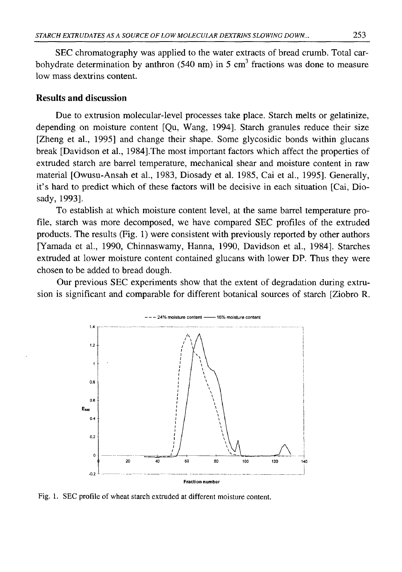SEC chromatography was applied to the water extracts of bread crumb. Total carbohydrate determination by anthron (540 nm) in 5 cm<sup>3</sup> fractions was done to measure low mass dextrins content.

#### **Results and discussion**

Due to extrusion molecular-level processes take place. Starch melts or gelatinize, depending on moisture content [Qu, Wang, 1994]. Starch granules reduce their size [Zheng et al., 1995] and change their shape. Some glycosidic bonds within glucans break [Davidson et al., 1984].The most important factors which affect the properties of extruded starch are barrel temperature, mechanical shear and moisture content in raw material [Owusu-Ansah et al., 1983, Diosady et al. 1985, Cai et al., 1995]. Generally, it's hard to predict which of these factors will be decisive in each situation [Cai, Diosady, 1993].

To establish at which moisture content level, at the same barrel temperature profile, starch was more decomposed, we have compared SEC profiles of the extruded products. The results (Fig. 1) were consistent with previously reported by other authors [Yamada et al., 1990, Chinnaswamy, Hanna, 1990, Davidson et al., 1984]. Starches extruded at lower moisture content contained glucans with lower DP. Thus they were chosen to be added to bread dough.

Our previous SEC experiments show that the extent of degradation during extrusion is significant and comparable for different botanical sources of starch [Ziobro R.



Fig. 1. SEC profile of wheat starch extruded at different moisture content.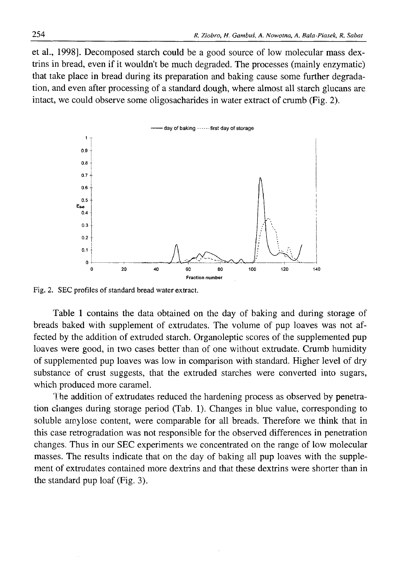et al., 1998]. Decomposed starch could be a good source of low molecular mass dextrins in bread, even if it wouldn't be much degraded. The processes (mainly enzymatic) that take place in bread during its preparation and baking cause some further degradation, and even after processing of a standard dough, where almost all starch glucans are intact, we could observe some oligosacharides in water extract of crumb (Fig. 2).



Fig. 2. SEC profiles of standard bread water extract.

Table 1 contains the data obtained on the day of baking and during storage of breads baked with supplement of extrudates. The volume of pup loaves was not affected by the addition of extruded starch. Organoleptic scores of the supplemented pup loaves were good, in two cases better than of one without extrudate. Crumb humidity of supplemented pup loaves was low in comparison with standard. Higher level of dry substance of crust suggests, that the extruded starches were converted into sugars, which produced more caramel.

The addition of extrudates reduced the hardening process as observed by penetration changes during storage period (Tab. 1). Changes in blue value, corresponding to soluble amylose content, were comparable for all breads. Therefore we think that in this case retrogradation was not responsible for the observed differences in penetration changes. Thus in our SEC experiments we concentrated on the range of low molecular masses. The results indicate that on the day of baking all pup loaves with the supplement of extrudates contained more dextrins and that these dextrins were shorter than in the standard pup loaf (Fig. 3).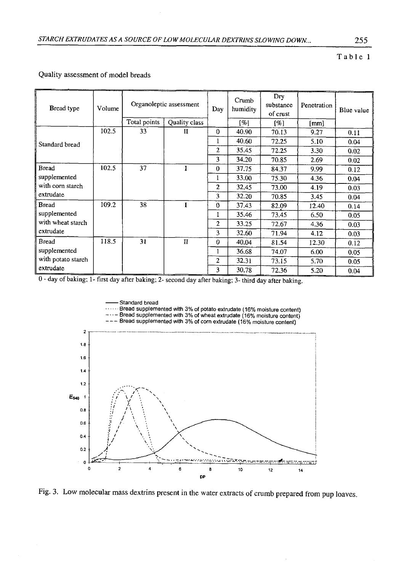#### **Table 1**

| Bread type         | Volume | Organoleptic assessment |               | Day            | Crumb<br>humidity | Dry<br>substance<br>of crust | Penetration | Blue value |
|--------------------|--------|-------------------------|---------------|----------------|-------------------|------------------------------|-------------|------------|
|                    |        | Total points            | Quality class |                | [%]               | [%]                          | [mm]        |            |
| Standard bread     | 102.5  | 33                      | П             | $\Omega$       | 40.90             | 70.13                        | 9.27        | 0.11       |
|                    |        |                         |               | 1              | 40.60             | 72.25                        | 5.10        | 0.04       |
|                    |        |                         |               | $\overline{c}$ | 35.45             | 72.25                        | 3.30        | 0.02       |
|                    |        |                         |               | 3              | 34.20             | 70.85                        | 2.69        | 0.02       |
| <b>Bread</b>       | 102.5  | 37                      |               | $\theta$       | 37.75             | 84.37                        | 9.99        | 0.12       |
| supplemented       |        |                         |               | 1              | 33.00             | 75.30                        | 4.36        | 0.04       |
| with corn starch   |        |                         |               | 2              | 32.45             | 73.00                        | 4.19        | 0.03       |
| extrudate          |        |                         |               | 3              | 32.20             | 70.85                        | 3.45        | 0.04       |
| <b>Bread</b>       | 109.2  | 38                      |               | $\Omega$       | 37.43             | 82.09                        | 12.40       | 0.14       |
| supplemented       |        |                         |               | 1              | 35.46             | 73.45                        | 6.50        | 0.05       |
| with wheat starch  |        |                         |               | 2              | 33.25             | 72.67                        | 4.36        | 0.03       |
| extrudate          |        |                         |               | 3              | 32.60             | 71.94                        | 4.12        | 0.03       |
| <b>Bread</b>       | 118.5  | 31                      | $\mathbf{H}$  | $\Omega$       | 40.04             | 81.54                        | 12.30       | 0.12       |
| supplemented       |        |                         |               | 1              | 36.68             | 74.07                        | 6.00        | 0.05       |
| with potato starch |        |                         |               | $\overline{2}$ | 32.31             | 73.15                        | 5.70        | 0.05       |
| extrudate          |        |                         |               | 3              | 30.78             | 72.36                        | 5.20        | 0.04       |

#### Quality assessment of model breads

0 - day of baking; 1- first day after baking; 2- second day after baking; 3- third day after baking.

・・・・・・Bread supplemented with 3% of potato extrudate (16% moisture content<br>−・・− Bread supplemented with 3% of wheat extrudate (16% moisture content<br>−−− Bread supplemented with 3% of corn extrudate (16% moisture content)



Fig. 3. Low molecular mass dextrins present in the water extracts of crumb prepared from pup loaves.

Standard bread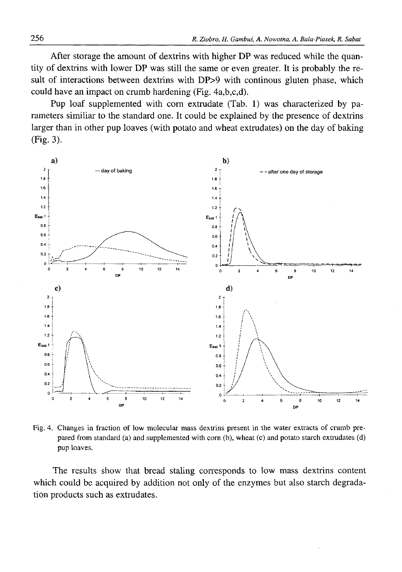After storage the amount of dextrins with higher DP was reduced while the quantity of dextrins with lower DP was still the same or even greater. It is probably the result of interactions between dextrins with DP>9 with continous gluten phase, which could have an impact on crumb hardening (Fig. 4a,b,c,d).

Pup loaf supplemented with corn extrudate (Tab. 1) was characterized by parameters similiar to the standard one. It could be explained by the presence of dextrins larger than in other pup loaves (with potato and wheat extrudates) on the day of baking (Fig. 3).



Fig. 4. Changes in fraction of low molecular mass dextrins present in the water extracts of crumb prepared from standard (a) and supplemented with corn (b), wheat (c) and potato starch extrudates (d) pup loaves.

The results show that bread staling corresponds to low mass dextrins content which could be acquired by addition not only of the enzymes but also starch degradation products such as extrudates.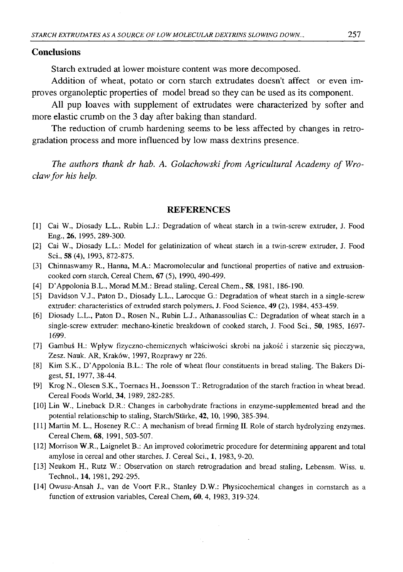#### **Conclusions**

Starch extruded at lower moisture content was more decomposed.

Addition of wheat, potato or corn starch extrudates doesn't affect or even improves organoleptic properties of model bread so they can be used as its component.

All pup loaves with supplement of extrudates were characterized by softer and more elastic crumb on the 3 day after baking than standard.

The reduction of crumb hardening seems to be less affected by changes in retrogradation process and more influenced by low mass dextrins presence.

The authors thank dr hab. A. Golachowski from Agricultural Academy of Wro*claw for his help.* 

#### **REFERENCES**

- [1] Cai W., Diosady L.L., Rubin L.J.: Degradation of wheat starch in a twin-screw extruder, J. Food Eng., 26, 1995, 289-300.
- [2] Cai W., Diosady L.L.: Model for gelatinization of wheat starch in a twin-screw extruder, J. Food Sci., 58 (4), 1993, 872-875.
- [3] Chinnaswamy R., Hanna, M.A.: Macromolecular and functional properties of native and extrusioncooked corn starch, Cereal Chem, 67 (5), 1990, 490-499.
- [4] D'Appolonia B.L., Morad M.M.: Bread staling, Cereal Chem., 58, 1981, 186-190.
- [5] Davidson V.J., Paton D., Diosady L.L., Larocque G.: Degradation of wheat starch in a single-screw extruder: characteristics of extruded starch polymers, J. Food Science, 49 (2), 1984, 453-459.
- [6 ] Diosady L.L., Paton D., Rosen N., Rubin L.J., Athanassoulias C.: Degradation of wheat starch in a single-screw extruder: mechano-kinetic breakdown of cooked starch, J. Food Sci., 50, 1985, 1697- 1699.
- [7] Gambuś H.: Wpływ fizyczno-chemicznych właściwości skrobi na jakość i starzenie się pieczywa, Zesz. Nauk. AR, Kraków, 1997, Rozprawy nr 226.
- [8 ] Kim S.K., D'Appolonia B.L.: The role of wheat flour constituents in bread staling. The Bakers Digest, 51, 1977, 38-44.
- [9] Krog N., Olesen S.K., Toernaes H., Joensson T.: Retrogradation of the starch fraction in wheat bread. Cereal Foods World, 34, 1989, 282-285.
- [10] Lin W., Lineback D.R.: Changes in carbohydrate fractions in enzyme-supplemented bread and the potential relationschip to staling, Starch/Stärke, 42, 10, 1990, 385-394.
- [11] Martin M. L., Hoseney R.C.: A mechanism of bread firming II. Role of starch hydrolyzing enzymes. Cereal Chem, 68, 1991, 503-507.
- [12] Morrison W.R., Laignelet B.: An improved colorimetric procedure for determining apparent and total amylose in cereal and other starches. J. Cereal Sci., 1, 1983, 9-20.
- [13] Neukom H., Rutz W.: Observation on starch retrogradation and bread staling, Lebensm. Wiss. u. Technol., 14, 1981, 292-295.
- [14] Owusu-Ansah J., van de Voort F.R., Stanley D.W.: Physicochemical changes in cornstarch as a function of extrusion variables, Cereal Chem, 60, 4, 1983, 319-324.